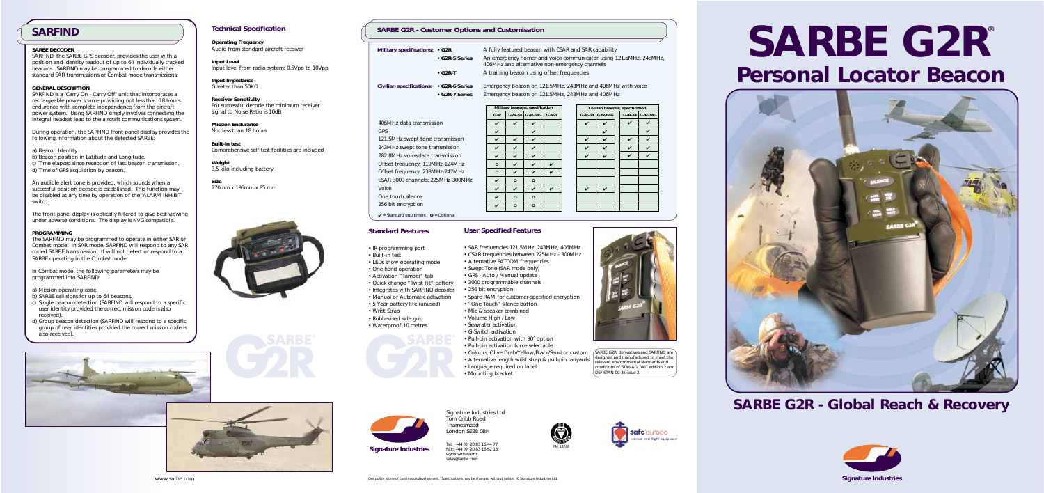# **Technical Specification**

**Operating Frequency** Audio from standard aircraft receiver

**Input Level** Input level from radio system: 0.5Vpp to 10Vpp

**Input Impedance** Greater than 50KΩ

**Receiver Sensitivity** For successful decode the minimum receiver signal to Noise Ratio is 10dB

**Mission Endurance** Not less than 18 hours

**Built-in test** Comprehensive self test facilities are included

**Weight** 3.5 kilo including battery

**Size** 270mm x 195mm x 85 mm



# **SARBE DECODER**

During operation, the SARFIND front panel display provides the following information about the detected SARBE

SARFIND, the SARBE GPS decoder, provides the user with a position and identity readout of up to 64 individually tracked beacons. SARFIND may be programmed to decode either standard SAR transmissions or Combat mode transmissions.

## **GENERAL DESCRIPTION**

SARFIND is a 'Carry On - Carry Off' unit that incorporates a rechargeable power source providing not less than 18 hours endurance with complete independence from the aircraft power system. Using SARFIND simply involves connecting the integral headset lead to the aircraft communications system.

- a) Beacon Identity.
- b) Beacon position in Latitude and Longitude.
- c) Time elapsed since reception of last beacon transmission. d) Time of GPS acquisition by beacon.

An audible alert tone is provided, which sounds when a successful position decode is established. This function may be disabled at any time by operation of the 'ALARM INHIBIT switch.

> • SAR frequencies 121.5MHz, 243MHz, 406MHz • CSAR frequencies between 225MHz - 300MHz • Alternative SATCOM frequencies

The front panel display is optically filtered to give best viewing under adverse conditions. The display is NVG compatible.

#### **PROGRAMMING**

The SARFIND may be programmed to operate in either SAR or Combat mode. In SAR mode, SARFIND will respond to any SAR coded SARBE transmission. It will not detect or respond to a SARBE operating in the Combat mode.

In Combat mode, the following parameters may be programmed into SARFIND:

> $\sqrt{\textsf{SARBE G2R}}$ , derivatives and SARFIND are designed and manufactured to meet the relevant environmental standards and conditions of STANAG 7007 edition 2 and DEF STAN 00-35 issue 2.

- **G2R-5 Series** An emergency homer and voice communicator using 121.5MHz, 243MHz, 406MHz and alternative non-emergency channels
- G2R-T A training beacon using offset frequencies

- a) Mission operating code.
- b) SARBE call signs for up to 64 beacons.
- c) Single beacon detection (SARFIND will respond to a specific user identity provided the correct mission code is also received).
- d) Group beacon detection (SARFIND will respond to a specific group of user identities provided the correct mission code is also received).



# **SARBE G2R ® Personal Locator Beacon**



*SARBE G2R - Global Reach & Recovery*



Signature Industries Ltd Tom Cribb Road Thamesmead London SE28 0BH

Tel: +44 (0) 20 83 16 44 77 Fax: +44 (0) 20 83 16 62 18 www.sarbe.com sales@sarbe.com



✔ = Standard equipment **O** = Optional

# **Standard Features**

• IR programming port

• Built-in test

• One hand operation • Activation "Tamper" tab

• Quick change "Twist Fit" battery

• Wrist Strap

• Rubberised side grip • Waterproof 10 metres

- 
- LEDs show operating mode
	- Swept Tone (SAR mode only)
	- GPS Auto / Manual update
	- 3000 programmable channels
	- 256 bit encryption
- Integrates with SARFIND decoder • Manual or Automatic activation • Spare RAM for customer-specified encryption
- 5 Year battery life (unused) • "One Touch" silence button
	- Mic & speaker combined
	- Volume High / Low
	- Seawater activation
	- G-Switch activation
	- Pull-pin activation with 90° option
	- Pull-pin activation force selectable
	-
	-
	- Language required on label
	- Mounting bracket



• Colours, Olive Drab/Yellow/Black/Sand or custom • Alternative length wrist strap & pull-pin lanyards



 $\sqrt{ }$ 

# **SARBE G2R - Customer Options and Customisation**

**Military specifications: • G2R** A fully featured beacon with CSAR and SAR capability







# *SARFIND*

**Civilian specifications: • G2R-6 Series** Emergency beacon on 121.5MHz, 243MHz and 406MHz with voice **• G2R-7 Series** Emergency beacon on 121.5MHz, 243MHz and 406MHz



# **User Specified Features**

406MHz data transmission GPS 121.5MHz swept tone transmission 243MHz swept tone transmission 282.8MHz voice/data transmission Offset frequency: 119MHz-124MHz Offset frequency: 238MHz-247MHz CSAR 3000 channels: 225MHz-300MHz Voice One touch silence 256 bit encryption